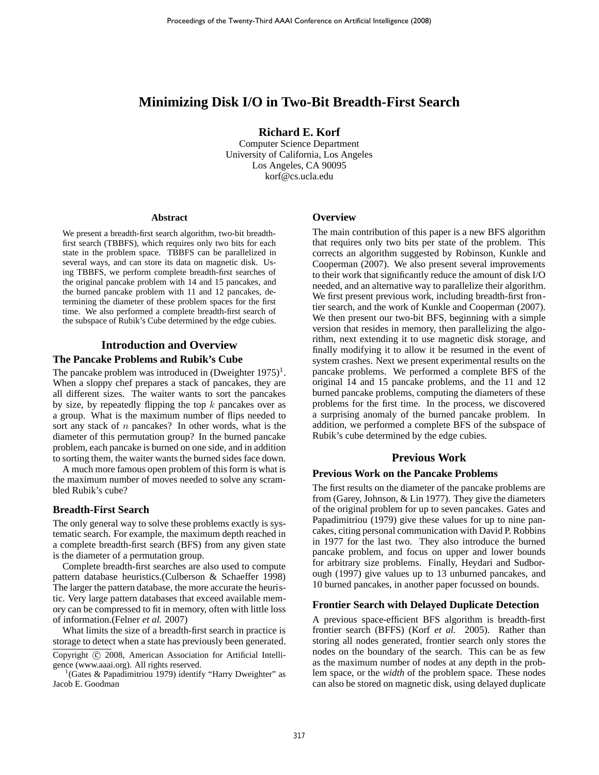# **Minimizing Disk I/O in Two-Bit Breadth-First Search**

**Richard E. Korf**

Computer Science Department University of California, Los Angeles Los Angeles, CA 90095 korf@cs.ucla.edu

#### **Abstract**

We present a breadth-first search algorithm, two-bit breadthfirst search (TBBFS), which requires only two bits for each state in the problem space. TBBFS can be parallelized in several ways, and can store its data on magnetic disk. Using TBBFS, we perform complete breadth-first searches of the original pancake problem with 14 and 15 pancakes, and the burned pancake problem with 11 and 12 pancakes, determining the diameter of these problem spaces for the first time. We also performed a complete breadth-first search of the subspace of Rubik's Cube determined by the edge cubies.

# **Introduction and Overview**

#### **The Pancake Problems and Rubik's Cube**

The pancake problem was introduced in  $(Dweighter 1975)^1$ . When a sloppy chef prepares a stack of pancakes, they are all different sizes. The waiter wants to sort the pancakes by size, by repeatedly flipping the top  $k$  pancakes over as a group. What is the maximum number of flips needed to sort any stack of  $n$  pancakes? In other words, what is the diameter of this permutation group? In the burned pancake problem, each pancake is burned on one side, and in addition to sorting them, the waiter wants the burned sides face down.

A much more famous open problem of this form is what is the maximum number of moves needed to solve any scrambled Rubik's cube?

#### **Breadth-First Search**

The only general way to solve these problems exactly is systematic search. For example, the maximum depth reached in a complete breadth-first search (BFS) from any given state is the diameter of a permutation group.

Complete breadth-first searches are also used to compute pattern database heuristics.(Culberson & Schaeffer 1998) The larger the pattern database, the more accurate the heuristic. Very large pattern databases that exceed available memory can be compressed to fit in memory, often with little loss of information.(Felner *et al.* 2007)

What limits the size of a breadth-first search in practice is storage to detect when a state has previously been generated.

Copyright (C) 2008, American Association for Artificial Intelligence (www.aaai.org). All rights reserved.

<sup>1</sup>(Gates & Papadimitriou 1979) identify "Harry Dweighter" as Jacob E. Goodman

#### **Overview**

The main contribution of this paper is a new BFS algorithm that requires only two bits per state of the problem. This corrects an algorithm suggested by Robinson, Kunkle and Cooperman (2007). We also present several improvements to their work that significantly reduce the amount of disk I/O needed, and an alternative way to parallelize their algorithm. We first present previous work, including breadth-first frontier search, and the work of Kunkle and Cooperman (2007). We then present our two-bit BFS, beginning with a simple version that resides in memory, then parallelizing the algorithm, next extending it to use magnetic disk storage, and finally modifying it to allow it be resumed in the event of system crashes. Next we present experimental results on the pancake problems. We performed a complete BFS of the original 14 and 15 pancake problems, and the 11 and 12 burned pancake problems, computing the diameters of these problems for the first time. In the process, we discovered a surprising anomaly of the burned pancake problem. In addition, we performed a complete BFS of the subspace of Rubik's cube determined by the edge cubies.

# **Previous Work**

### **Previous Work on the Pancake Problems**

The first results on the diameter of the pancake problems are from (Garey, Johnson, & Lin 1977). They give the diameters of the original problem for up to seven pancakes. Gates and Papadimitriou (1979) give these values for up to nine pancakes, citing personal communication with David P. Robbins in 1977 for the last two. They also introduce the burned pancake problem, and focus on upper and lower bounds for arbitrary size problems. Finally, Heydari and Sudborough (1997) give values up to 13 unburned pancakes, and 10 burned pancakes, in another paper focussed on bounds.

#### **Frontier Search with Delayed Duplicate Detection**

A previous space-efficient BFS algorithm is breadth-first frontier search (BFFS) (Korf *et al.* 2005). Rather than storing all nodes generated, frontier search only stores the nodes on the boundary of the search. This can be as few as the maximum number of nodes at any depth in the problem space, or the *width* of the problem space. These nodes can also be stored on magnetic disk, using delayed duplicate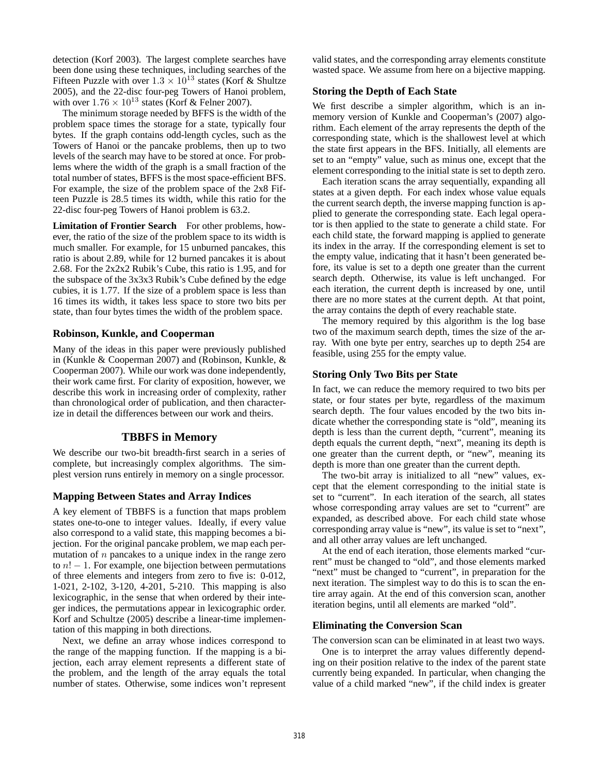detection (Korf 2003). The largest complete searches have been done using these techniques, including searches of the Fifteen Puzzle with over  $1.3 \times 10^{13}$  states (Korf & Shultze 2005), and the 22-disc four-peg Towers of Hanoi problem, with over  $1.76 \times 10^{13}$  states (Korf & Felner 2007).

The minimum storage needed by BFFS is the width of the problem space times the storage for a state, typically four bytes. If the graph contains odd-length cycles, such as the Towers of Hanoi or the pancake problems, then up to two levels of the search may have to be stored at once. For problems where the width of the graph is a small fraction of the total number of states, BFFS is the most space-efficient BFS. For example, the size of the problem space of the 2x8 Fifteen Puzzle is 28.5 times its width, while this ratio for the 22-disc four-peg Towers of Hanoi problem is 63.2.

Limitation of Frontier Search For other problems, however, the ratio of the size of the problem space to its width is much smaller. For example, for 15 unburned pancakes, this ratio is about 2.89, while for 12 burned pancakes it is about 2.68. For the 2x2x2 Rubik's Cube, this ratio is 1.95, and for the subspace of the 3x3x3 Rubik's Cube defined by the edge cubies, it is 1.77. If the size of a problem space is less than 16 times its width, it takes less space to store two bits per state, than four bytes times the width of the problem space.

# **Robinson, Kunkle, and Cooperman**

Many of the ideas in this paper were previously published in (Kunkle & Cooperman 2007) and (Robinson, Kunkle, & Cooperman 2007). While our work was done independently, their work came first. For clarity of exposition, however, we describe this work in increasing order of complexity, rather than chronological order of publication, and then characterize in detail the differences between our work and theirs.

# **TBBFS in Memory**

We describe our two-bit breadth-first search in a series of complete, but increasingly complex algorithms. The simplest version runs entirely in memory on a single processor.

#### **Mapping Between States and Array Indices**

A key element of TBBFS is a function that maps problem states one-to-one to integer values. Ideally, if every value also correspond to a valid state, this mapping becomes a bijection. For the original pancake problem, we map each permutation of  $n$  pancakes to a unique index in the range zero to  $n! - 1$ . For example, one bijection between permutations of three elements and integers from zero to five is: 0-012, 1-021, 2-102, 3-120, 4-201, 5-210. This mapping is also lexicographic, in the sense that when ordered by their integer indices, the permutations appear in lexicographic order. Korf and Schultze (2005) describe a linear-time implementation of this mapping in both directions.

Next, we define an array whose indices correspond to the range of the mapping function. If the mapping is a bijection, each array element represents a different state of the problem, and the length of the array equals the total number of states. Otherwise, some indices won't represent valid states, and the corresponding array elements constitute wasted space. We assume from here on a bijective mapping.

# **Storing the Depth of Each State**

We first describe a simpler algorithm, which is an inmemory version of Kunkle and Cooperman's (2007) algorithm. Each element of the array represents the depth of the corresponding state, which is the shallowest level at which the state first appears in the BFS. Initially, all elements are set to an "empty" value, such as minus one, except that the element corresponding to the initial state is set to depth zero.

Each iteration scans the array sequentially, expanding all states at a given depth. For each index whose value equals the current search depth, the inverse mapping function is applied to generate the corresponding state. Each legal operator is then applied to the state to generate a child state. For each child state, the forward mapping is applied to generate its index in the array. If the corresponding element is set to the empty value, indicating that it hasn't been generated before, its value is set to a depth one greater than the current search depth. Otherwise, its value is left unchanged. For each iteration, the current depth is increased by one, until there are no more states at the current depth. At that point, the array contains the depth of every reachable state.

The memory required by this algorithm is the log base two of the maximum search depth, times the size of the array. With one byte per entry, searches up to depth 254 are feasible, using 255 for the empty value.

#### **Storing Only Two Bits per State**

In fact, we can reduce the memory required to two bits per state, or four states per byte, regardless of the maximum search depth. The four values encoded by the two bits indicate whether the corresponding state is "old", meaning its depth is less than the current depth, "current", meaning its depth equals the current depth, "next", meaning its depth is one greater than the current depth, or "new", meaning its depth is more than one greater than the current depth.

The two-bit array is initialized to all "new" values, except that the element corresponding to the initial state is set to "current". In each iteration of the search, all states whose corresponding array values are set to "current" are expanded, as described above. For each child state whose corresponding array value is "new", its value is set to "next", and all other array values are left unchanged.

At the end of each iteration, those elements marked "current" must be changed to "old", and those elements marked "next" must be changed to "current", in preparation for the next iteration. The simplest way to do this is to scan the entire array again. At the end of this conversion scan, another iteration begins, until all elements are marked "old".

#### **Eliminating the Conversion Scan**

The conversion scan can be eliminated in at least two ways.

One is to interpret the array values differently depending on their position relative to the index of the parent state currently being expanded. In particular, when changing the value of a child marked "new", if the child index is greater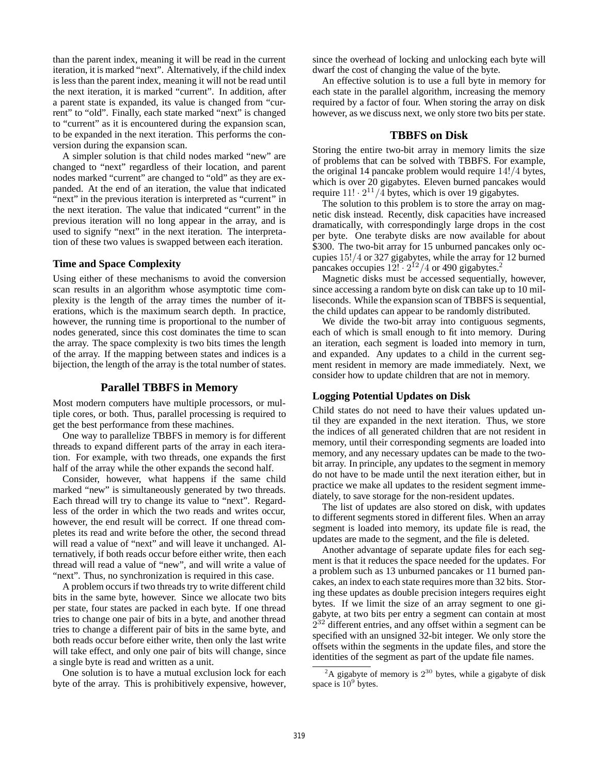than the parent index, meaning it will be read in the current iteration, it is marked "next". Alternatively, if the child index is less than the parent index, meaning it will not be read until the next iteration, it is marked "current". In addition, after a parent state is expanded, its value is changed from "current" to "old". Finally, each state marked "next" is changed to "current" as it is encountered during the expansion scan, to be expanded in the next iteration. This performs the conversion during the expansion scan.

A simpler solution is that child nodes marked "new" are changed to "next" regardless of their location, and parent nodes marked "current" are changed to "old" as they are expanded. At the end of an iteration, the value that indicated "next" in the previous iteration is interpreted as "current" in the next iteration. The value that indicated "current" in the previous iteration will no long appear in the array, and is used to signify "next" in the next iteration. The interpretation of these two values is swapped between each iteration.

# **Time and Space Complexity**

Using either of these mechanisms to avoid the conversion scan results in an algorithm whose asymptotic time complexity is the length of the array times the number of iterations, which is the maximum search depth. In practice, however, the running time is proportional to the number of nodes generated, since this cost dominates the time to scan the array. The space complexity is two bits times the length of the array. If the mapping between states and indices is a bijection, the length of the array is the total number of states.

### **Parallel TBBFS in Memory**

Most modern computers have multiple processors, or multiple cores, or both. Thus, parallel processing is required to get the best performance from these machines.

One way to parallelize TBBFS in memory is for different threads to expand different parts of the array in each iteration. For example, with two threads, one expands the first half of the array while the other expands the second half.

Consider, however, what happens if the same child marked "new" is simultaneously generated by two threads. Each thread will try to change its value to "next". Regardless of the order in which the two reads and writes occur, however, the end result will be correct. If one thread completes its read and write before the other, the second thread will read a value of "next" and will leave it unchanged. Alternatively, if both reads occur before either write, then each thread will read a value of "new", and will write a value of "next". Thus, no synchronization is required in this case.

A problem occurs if two threads try to write different child bits in the same byte, however. Since we allocate two bits per state, four states are packed in each byte. If one thread tries to change one pair of bits in a byte, and another thread tries to change a different pair of bits in the same byte, and both reads occur before either write, then only the last write will take effect, and only one pair of bits will change, since a single byte is read and written as a unit.

One solution is to have a mutual exclusion lock for each byte of the array. This is prohibitively expensive, however, since the overhead of locking and unlocking each byte will dwarf the cost of changing the value of the byte.

An effective solution is to use a full byte in memory for each state in the parallel algorithm, increasing the memory required by a factor of four. When storing the array on disk however, as we discuss next, we only store two bits per state.

### **TBBFS on Disk**

Storing the entire two-bit array in memory limits the size of problems that can be solved with TBBFS. For example, the original 14 pancake problem would require 14!/4 bytes, which is over 20 gigabytes. Eleven burned pancakes would require  $11! \cdot 2^{11}/4$  bytes, which is over 19 gigabytes.

The solution to this problem is to store the array on magnetic disk instead. Recently, disk capacities have increased dramatically, with correspondingly large drops in the cost per byte. One terabyte disks are now available for about \$300. The two-bit array for 15 unburned pancakes only occupies 15!/4 or 327 gigabytes, while the array for 12 burned pancakes occupies  $12! \cdot 2^{12}/4$  or 490 gigabytes.<sup>2</sup>

Magnetic disks must be accessed sequentially, however, since accessing a random byte on disk can take up to 10 milliseconds. While the expansion scan of TBBFS is sequential, the child updates can appear to be randomly distributed.

We divide the two-bit array into contiguous segments, each of which is small enough to fit into memory. During an iteration, each segment is loaded into memory in turn, and expanded. Any updates to a child in the current segment resident in memory are made immediately. Next, we consider how to update children that are not in memory.

#### **Logging Potential Updates on Disk**

Child states do not need to have their values updated until they are expanded in the next iteration. Thus, we store the indices of all generated children that are not resident in memory, until their corresponding segments are loaded into memory, and any necessary updates can be made to the twobit array. In principle, any updates to the segment in memory do not have to be made until the next iteration either, but in practice we make all updates to the resident segment immediately, to save storage for the non-resident updates.

The list of updates are also stored on disk, with updates to different segments stored in different files. When an array segment is loaded into memory, its update file is read, the updates are made to the segment, and the file is deleted.

Another advantage of separate update files for each segment is that it reduces the space needed for the updates. For a problem such as 13 unburned pancakes or 11 burned pancakes, an index to each state requires more than 32 bits. Storing these updates as double precision integers requires eight bytes. If we limit the size of an array segment to one gigabyte, at two bits per entry a segment can contain at most  $2^{32}$  different entries, and any offset within a segment can be specified with an unsigned 32-bit integer. We only store the offsets within the segments in the update files, and store the identities of the segment as part of the update file names.

<sup>&</sup>lt;sup>2</sup>A gigabyte of memory is  $2^{30}$  bytes, while a gigabyte of disk space is  $10^9$  bytes.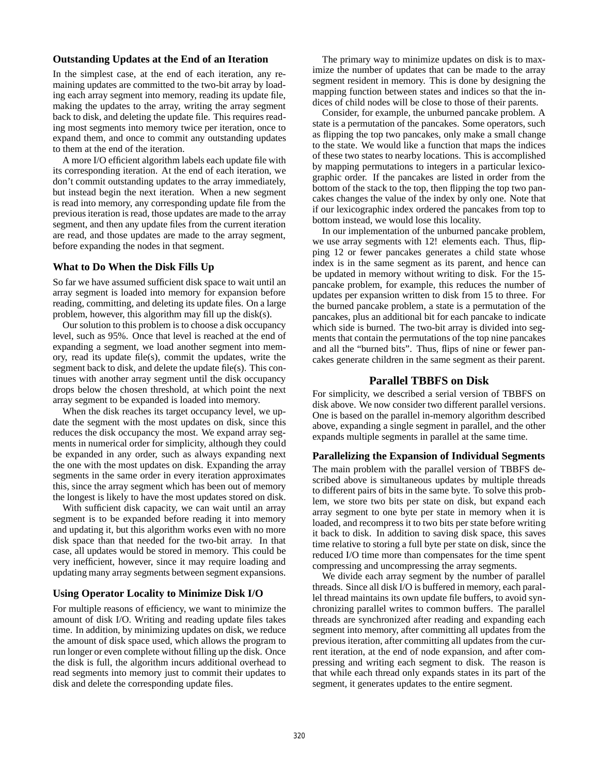# **Outstanding Updates at the End of an Iteration**

In the simplest case, at the end of each iteration, any remaining updates are committed to the two-bit array by loading each array segment into memory, reading its update file, making the updates to the array, writing the array segment back to disk, and deleting the update file. This requires reading most segments into memory twice per iteration, once to expand them, and once to commit any outstanding updates to them at the end of the iteration.

A more I/O efficient algorithm labels each update file with its corresponding iteration. At the end of each iteration, we don't commit outstanding updates to the array immediately, but instead begin the next iteration. When a new segment is read into memory, any corresponding update file from the previous iteration is read, those updates are made to the array segment, and then any update files from the current iteration are read, and those updates are made to the array segment, before expanding the nodes in that segment.

#### **What to Do When the Disk Fills Up**

So far we have assumed sufficient disk space to wait until an array segment is loaded into memory for expansion before reading, committing, and deleting its update files. On a large problem, however, this algorithm may fill up the disk(s).

Our solution to this problem is to choose a disk occupancy level, such as 95%. Once that level is reached at the end of expanding a segment, we load another segment into memory, read its update file(s), commit the updates, write the segment back to disk, and delete the update file(s). This continues with another array segment until the disk occupancy drops below the chosen threshold, at which point the next array segment to be expanded is loaded into memory.

When the disk reaches its target occupancy level, we update the segment with the most updates on disk, since this reduces the disk occupancy the most. We expand array segments in numerical order for simplicity, although they could be expanded in any order, such as always expanding next the one with the most updates on disk. Expanding the array segments in the same order in every iteration approximates this, since the array segment which has been out of memory the longest is likely to have the most updates stored on disk.

With sufficient disk capacity, we can wait until an array segment is to be expanded before reading it into memory and updating it, but this algorithm works even with no more disk space than that needed for the two-bit array. In that case, all updates would be stored in memory. This could be very inefficient, however, since it may require loading and updating many array segments between segment expansions.

#### **Using Operator Locality to Minimize Disk I/O**

For multiple reasons of efficiency, we want to minimize the amount of disk I/O. Writing and reading update files takes time. In addition, by minimizing updates on disk, we reduce the amount of disk space used, which allows the program to run longer or even complete without filling up the disk. Once the disk is full, the algorithm incurs additional overhead to read segments into memory just to commit their updates to disk and delete the corresponding update files.

The primary way to minimize updates on disk is to maximize the number of updates that can be made to the array segment resident in memory. This is done by designing the mapping function between states and indices so that the indices of child nodes will be close to those of their parents.

Consider, for example, the unburned pancake problem. A state is a permutation of the pancakes. Some operators, such as flipping the top two pancakes, only make a small change to the state. We would like a function that maps the indices of these two states to nearby locations. This is accomplished by mapping permutations to integers in a particular lexicographic order. If the pancakes are listed in order from the bottom of the stack to the top, then flipping the top two pancakes changes the value of the index by only one. Note that if our lexicographic index ordered the pancakes from top to bottom instead, we would lose this locality.

In our implementation of the unburned pancake problem, we use array segments with 12! elements each. Thus, flipping 12 or fewer pancakes generates a child state whose index is in the same segment as its parent, and hence can be updated in memory without writing to disk. For the 15 pancake problem, for example, this reduces the number of updates per expansion written to disk from 15 to three. For the burned pancake problem, a state is a permutation of the pancakes, plus an additional bit for each pancake to indicate which side is burned. The two-bit array is divided into segments that contain the permutations of the top nine pancakes and all the "burned bits". Thus, flips of nine or fewer pancakes generate children in the same segment as their parent.

# **Parallel TBBFS on Disk**

For simplicity, we described a serial version of TBBFS on disk above. We now consider two different parallel versions. One is based on the parallel in-memory algorithm described above, expanding a single segment in parallel, and the other expands multiple segments in parallel at the same time.

#### **Parallelizing the Expansion of Individual Segments**

The main problem with the parallel version of TBBFS described above is simultaneous updates by multiple threads to different pairs of bits in the same byte. To solve this problem, we store two bits per state on disk, but expand each array segment to one byte per state in memory when it is loaded, and recompress it to two bits per state before writing it back to disk. In addition to saving disk space, this saves time relative to storing a full byte per state on disk, since the reduced I/O time more than compensates for the time spent compressing and uncompressing the array segments.

We divide each array segment by the number of parallel threads. Since all disk I/O is buffered in memory, each parallel thread maintains its own update file buffers, to avoid synchronizing parallel writes to common buffers. The parallel threads are synchronized after reading and expanding each segment into memory, after committing all updates from the previous iteration, after committing all updates from the current iteration, at the end of node expansion, and after compressing and writing each segment to disk. The reason is that while each thread only expands states in its part of the segment, it generates updates to the entire segment.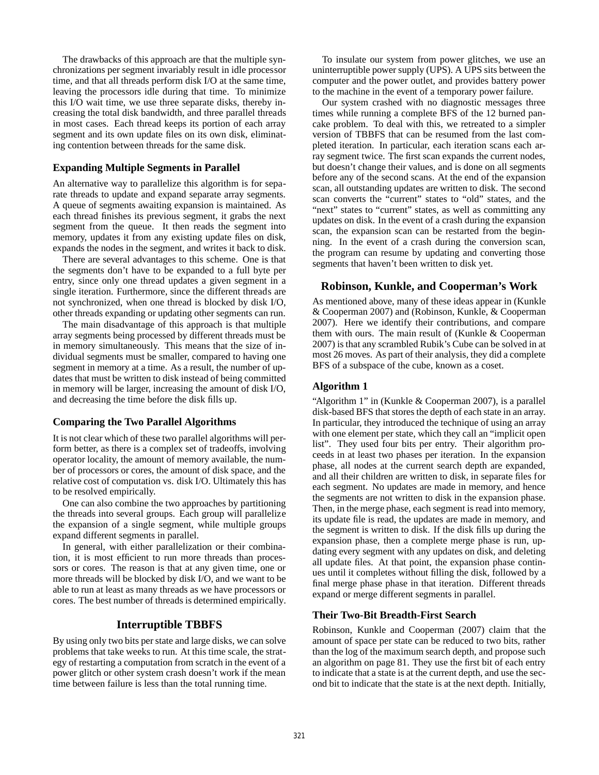The drawbacks of this approach are that the multiple synchronizations per segment invariably result in idle processor time, and that all threads perform disk I/O at the same time, leaving the processors idle during that time. To minimize this I/O wait time, we use three separate disks, thereby increasing the total disk bandwidth, and three parallel threads in most cases. Each thread keeps its portion of each array segment and its own update files on its own disk, eliminating contention between threads for the same disk.

### **Expanding Multiple Segments in Parallel**

An alternative way to parallelize this algorithm is for separate threads to update and expand separate array segments. A queue of segments awaiting expansion is maintained. As each thread finishes its previous segment, it grabs the next segment from the queue. It then reads the segment into memory, updates it from any existing update files on disk, expands the nodes in the segment, and writes it back to disk.

There are several advantages to this scheme. One is that the segments don't have to be expanded to a full byte per entry, since only one thread updates a given segment in a single iteration. Furthermore, since the different threads are not synchronized, when one thread is blocked by disk I/O, other threads expanding or updating other segments can run.

The main disadvantage of this approach is that multiple array segments being processed by different threads must be in memory simultaneously. This means that the size of individual segments must be smaller, compared to having one segment in memory at a time. As a result, the number of updates that must be written to disk instead of being committed in memory will be larger, increasing the amount of disk I/O, and decreasing the time before the disk fills up.

# **Comparing the Two Parallel Algorithms**

It is not clear which of these two parallel algorithms will perform better, as there is a complex set of tradeoffs, involving operator locality, the amount of memory available, the number of processors or cores, the amount of disk space, and the relative cost of computation vs. disk I/O. Ultimately this has to be resolved empirically.

One can also combine the two approaches by partitioning the threads into several groups. Each group will parallelize the expansion of a single segment, while multiple groups expand different segments in parallel.

In general, with either parallelization or their combination, it is most efficient to run more threads than processors or cores. The reason is that at any given time, one or more threads will be blocked by disk I/O, and we want to be able to run at least as many threads as we have processors or cores. The best number of threads is determined empirically.

#### **Interruptible TBBFS**

By using only two bits per state and large disks, we can solve problems that take weeks to run. At this time scale, the strategy of restarting a computation from scratch in the event of a power glitch or other system crash doesn't work if the mean time between failure is less than the total running time.

To insulate our system from power glitches, we use an uninterruptible power supply (UPS). A UPS sits between the computer and the power outlet, and provides battery power to the machine in the event of a temporary power failure.

Our system crashed with no diagnostic messages three times while running a complete BFS of the 12 burned pancake problem. To deal with this, we retreated to a simpler version of TBBFS that can be resumed from the last completed iteration. In particular, each iteration scans each array segment twice. The first scan expands the current nodes, but doesn't change their values, and is done on all segments before any of the second scans. At the end of the expansion scan, all outstanding updates are written to disk. The second scan converts the "current" states to "old" states, and the "next" states to "current" states, as well as committing any updates on disk. In the event of a crash during the expansion scan, the expansion scan can be restarted from the beginning. In the event of a crash during the conversion scan, the program can resume by updating and converting those segments that haven't been written to disk yet.

### **Robinson, Kunkle, and Cooperman's Work**

As mentioned above, many of these ideas appear in (Kunkle & Cooperman 2007) and (Robinson, Kunkle, & Cooperman 2007). Here we identify their contributions, and compare them with ours. The main result of (Kunkle & Cooperman 2007) is that any scrambled Rubik's Cube can be solved in at most 26 moves. As part of their analysis, they did a complete BFS of a subspace of the cube, known as a coset.

# **Algorithm 1**

"Algorithm 1" in (Kunkle & Cooperman 2007), is a parallel disk-based BFS that stores the depth of each state in an array. In particular, they introduced the technique of using an array with one element per state, which they call an "implicit open list". They used four bits per entry. Their algorithm proceeds in at least two phases per iteration. In the expansion phase, all nodes at the current search depth are expanded, and all their children are written to disk, in separate files for each segment. No updates are made in memory, and hence the segments are not written to disk in the expansion phase. Then, in the merge phase, each segment is read into memory, its update file is read, the updates are made in memory, and the segment is written to disk. If the disk fills up during the expansion phase, then a complete merge phase is run, updating every segment with any updates on disk, and deleting all update files. At that point, the expansion phase continues until it completes without filling the disk, followed by a final merge phase phase in that iteration. Different threads expand or merge different segments in parallel.

# **Their Two-Bit Breadth-First Search**

Robinson, Kunkle and Cooperman (2007) claim that the amount of space per state can be reduced to two bits, rather than the log of the maximum search depth, and propose such an algorithm on page 81. They use the first bit of each entry to indicate that a state is at the current depth, and use the second bit to indicate that the state is at the next depth. Initially,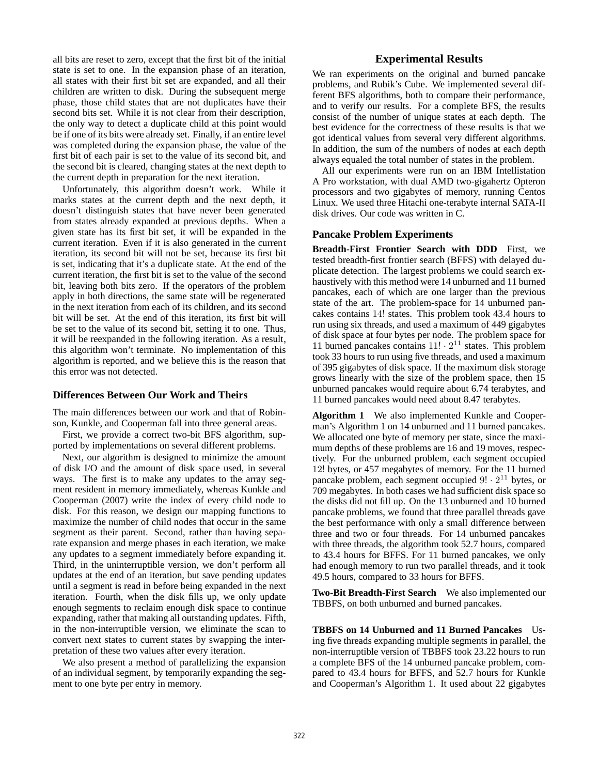all bits are reset to zero, except that the first bit of the initial state is set to one. In the expansion phase of an iteration, all states with their first bit set are expanded, and all their children are written to disk. During the subsequent merge phase, those child states that are not duplicates have their second bits set. While it is not clear from their description, the only way to detect a duplicate child at this point would be if one of its bits were already set. Finally, if an entire level was completed during the expansion phase, the value of the first bit of each pair is set to the value of its second bit, and the second bit is cleared, changing states at the next depth to the current depth in preparation for the next iteration.

Unfortunately, this algorithm doesn't work. While it marks states at the current depth and the next depth, it doesn't distinguish states that have never been generated from states already expanded at previous depths. When a given state has its first bit set, it will be expanded in the current iteration. Even if it is also generated in the current iteration, its second bit will not be set, because its first bit is set, indicating that it's a duplicate state. At the end of the current iteration, the first bit is set to the value of the second bit, leaving both bits zero. If the operators of the problem apply in both directions, the same state will be regenerated in the next iteration from each of its children, and its second bit will be set. At the end of this iteration, its first bit will be set to the value of its second bit, setting it to one. Thus, it will be reexpanded in the following iteration. As a result, this algorithm won't terminate. No implementation of this algorithm is reported, and we believe this is the reason that this error was not detected.

# **Differences Between Our Work and Theirs**

The main differences between our work and that of Robinson, Kunkle, and Cooperman fall into three general areas.

First, we provide a correct two-bit BFS algorithm, supported by implementations on several different problems.

Next, our algorithm is designed to minimize the amount of disk I/O and the amount of disk space used, in several ways. The first is to make any updates to the array segment resident in memory immediately, whereas Kunkle and Cooperman (2007) write the index of every child node to disk. For this reason, we design our mapping functions to maximize the number of child nodes that occur in the same segment as their parent. Second, rather than having separate expansion and merge phases in each iteration, we make any updates to a segment immediately before expanding it. Third, in the uninterruptible version, we don't perform all updates at the end of an iteration, but save pending updates until a segment is read in before being expanded in the next iteration. Fourth, when the disk fills up, we only update enough segments to reclaim enough disk space to continue expanding, rather that making all outstanding updates. Fifth, in the non-interruptible version, we eliminate the scan to convert next states to current states by swapping the interpretation of these two values after every iteration.

We also present a method of parallelizing the expansion of an individual segment, by temporarily expanding the segment to one byte per entry in memory.

# **Experimental Results**

We ran experiments on the original and burned pancake problems, and Rubik's Cube. We implemented several different BFS algorithms, both to compare their performance, and to verify our results. For a complete BFS, the results consist of the number of unique states at each depth. The best evidence for the correctness of these results is that we got identical values from several very different algorithms. In addition, the sum of the numbers of nodes at each depth always equaled the total number of states in the problem.

All our experiments were run on an IBM Intellistation A Pro workstation, with dual AMD two-gigahertz Opteron processors and two gigabytes of memory, running Centos Linux. We used three Hitachi one-terabyte internal SATA-II disk drives. Our code was written in C.

#### **Pancake Problem Experiments**

**Breadth-First Frontier Search with DDD** First, we tested breadth-first frontier search (BFFS) with delayed duplicate detection. The largest problems we could search exhaustively with this method were 14 unburned and 11 burned pancakes, each of which are one larger than the previous state of the art. The problem-space for 14 unburned pancakes contains 14! states. This problem took 43.4 hours to run using six threads, and used a maximum of 449 gigabytes of disk space at four bytes per node. The problem space for 11 burned pancakes contains  $11! \cdot 2^{11}$  states. This problem took 33 hours to run using five threads, and used a maximum of 395 gigabytes of disk space. If the maximum disk storage grows linearly with the size of the problem space, then 15 unburned pancakes would require about 6.74 terabytes, and 11 burned pancakes would need about 8.47 terabytes.

**Algorithm 1** We also implemented Kunkle and Cooperman's Algorithm 1 on 14 unburned and 11 burned pancakes. We allocated one byte of memory per state, since the maximum depths of these problems are 16 and 19 moves, respectively. For the unburned problem, each segment occupied 12! bytes, or 457 megabytes of memory. For the 11 burned pancake problem, each segment occupied  $9! \cdot 2^{11}$  bytes, or 709 megabytes. In both cases we had sufficient disk space so the disks did not fill up. On the 13 unburned and 10 burned pancake problems, we found that three parallel threads gave the best performance with only a small difference between three and two or four threads. For 14 unburned pancakes with three threads, the algorithm took 52.7 hours, compared to 43.4 hours for BFFS. For 11 burned pancakes, we only had enough memory to run two parallel threads, and it took 49.5 hours, compared to 33 hours for BFFS.

**Two-Bit Breadth-First Search** We also implemented our TBBFS, on both unburned and burned pancakes.

**TBBFS on 14 Unburned and 11 Burned Pancakes** Using five threads expanding multiple segments in parallel, the non-interruptible version of TBBFS took 23.22 hours to run a complete BFS of the 14 unburned pancake problem, compared to 43.4 hours for BFFS, and 52.7 hours for Kunkle and Cooperman's Algorithm 1. It used about 22 gigabytes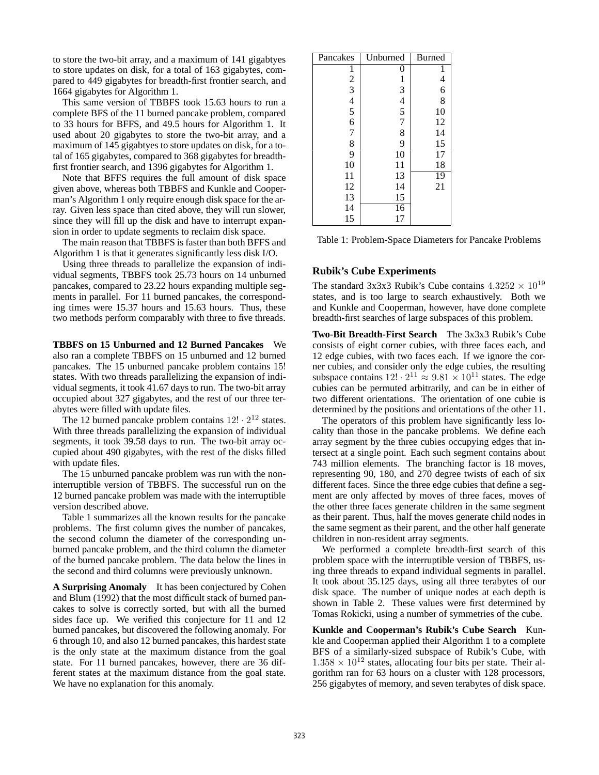to store the two-bit array, and a maximum of 141 gigabtyes to store updates on disk, for a total of 163 gigabytes, compared to 449 gigabytes for breadth-first frontier search, and 1664 gigabytes for Algorithm 1.

This same version of TBBFS took 15.63 hours to run a complete BFS of the 11 burned pancake problem, compared to 33 hours for BFFS, and 49.5 hours for Algorithm 1. It used about 20 gigabytes to store the two-bit array, and a maximum of 145 gigabtyes to store updates on disk, for a total of 165 gigabytes, compared to 368 gigabytes for breadthfirst frontier search, and 1396 gigabytes for Algorithm 1.

Note that BFFS requires the full amount of disk space given above, whereas both TBBFS and Kunkle and Cooperman's Algorithm 1 only require enough disk space for the array. Given less space than cited above, they will run slower, since they will fill up the disk and have to interrupt expansion in order to update segments to reclaim disk space.

The main reason that TBBFS is faster than both BFFS and Algorithm 1 is that it generates significantly less disk I/O.

Using three threads to parallelize the expansion of individual segments, TBBFS took 25.73 hours on 14 unburned pancakes, compared to 23.22 hours expanding multiple segments in parallel. For 11 burned pancakes, the corresponding times were 15.37 hours and 15.63 hours. Thus, these two methods perform comparably with three to five threads.

**TBBFS on 15 Unburned and 12 Burned Pancakes** We also ran a complete TBBFS on 15 unburned and 12 burned pancakes. The 15 unburned pancake problem contains 15! states. With two threads parallelizing the expansion of individual segments, it took 41.67 days to run. The two-bit array occupied about 327 gigabytes, and the rest of our three terabytes were filled with update files.

The 12 burned pancake problem contains  $12! \cdot 2^{12}$  states. With three threads parallelizing the expansion of individual segments, it took 39.58 days to run. The two-bit array occupied about 490 gigabytes, with the rest of the disks filled with update files.

The 15 unburned pancake problem was run with the noninterruptible version of TBBFS. The successful run on the 12 burned pancake problem was made with the interruptible version described above.

Table 1 summarizes all the known results for the pancake problems. The first column gives the number of pancakes, the second column the diameter of the corresponding unburned pancake problem, and the third column the diameter of the burned pancake problem. The data below the lines in the second and third columns were previously unknown.

**A Surprising Anomaly** It has been conjectured by Cohen and Blum (1992) that the most difficult stack of burned pancakes to solve is correctly sorted, but with all the burned sides face up. We verified this conjecture for 11 and 12 burned pancakes, but discovered the following anomaly. For 6 through 10, and also 12 burned pancakes, this hardest state is the only state at the maximum distance from the goal state. For 11 burned pancakes, however, there are 36 different states at the maximum distance from the goal state. We have no explanation for this anomaly.

| Pancakes  | Unburned | <b>Burned</b>            |
|-----------|----------|--------------------------|
|           | 0        | 1                        |
|           |          | $\overline{\mathcal{L}}$ |
|           |          | 6                        |
|           |          | 8                        |
|           | 1345789  | 10                       |
|           |          | 12                       |
|           |          | 14                       |
| 123456789 |          | 15                       |
|           | 10       | 17                       |
| 10        | 11       | 18                       |
| 11        | 13       | 19                       |
| 12        | 14       | 21                       |
| 13        | 15       |                          |
| 14        | 16       |                          |
| 15        | 17       |                          |

Table 1: Problem-Space Diameters for Pancake Problems

# **Rubik's Cube Experiments**

The standard 3x3x3 Rubik's Cube contains  $4.3252 \times 10^{19}$ states, and is too large to search exhaustively. Both we and Kunkle and Cooperman, however, have done complete breadth-first searches of large subspaces of this problem.

**Two-Bit Breadth-First Search** The 3x3x3 Rubik's Cube consists of eight corner cubies, with three faces each, and 12 edge cubies, with two faces each. If we ignore the corner cubies, and consider only the edge cubies, the resulting subspace contains  $12! \cdot 2^{11} \approx 9.81 \times 10^{11}$  states. The edge cubies can be permuted arbitrarily, and can be in either of two different orientations. The orientation of one cubie is determined by the positions and orientations of the other 11.

The operators of this problem have significantly less locality than those in the pancake problems. We define each array segment by the three cubies occupying edges that intersect at a single point. Each such segment contains about 743 million elements. The branching factor is 18 moves, representing 90, 180, and 270 degree twists of each of six different faces. Since the three edge cubies that define a segment are only affected by moves of three faces, moves of the other three faces generate children in the same segment as their parent. Thus, half the moves generate child nodes in the same segment as their parent, and the other half generate children in non-resident array segments.

We performed a complete breadth-first search of this problem space with the interruptible version of TBBFS, using three threads to expand individual segments in parallel. It took about 35.125 days, using all three terabytes of our disk space. The number of unique nodes at each depth is shown in Table 2. These values were first determined by Tomas Rokicki, using a number of symmetries of the cube.

**Kunkle and Cooperman's Rubik's Cube Search** Kunkle and Cooperman applied their Algorithm 1 to a complete BFS of a similarly-sized subspace of Rubik's Cube, with  $1.358 \times 10^{12}$  states, allocating four bits per state. Their algorithm ran for 63 hours on a cluster with 128 processors, 256 gigabytes of memory, and seven terabytes of disk space.